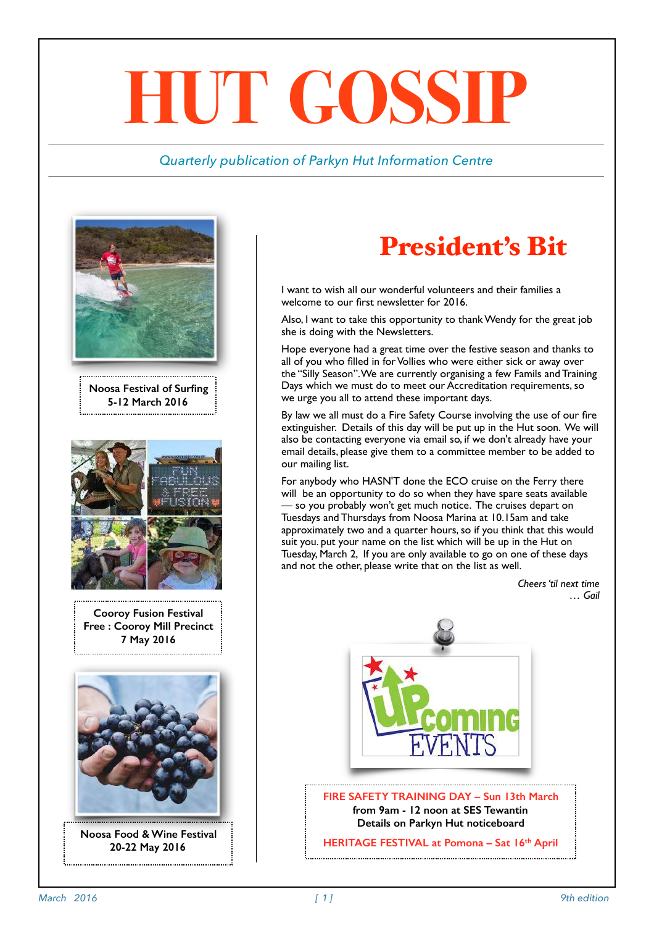# **HUT GOSSIP**

#### *Quarterly publication of Parkyn Hut Information Centre*





**Noosa Food & Wine Festival 20-22 May 2016**

## President's Bit

I want to wish all our wonderful volunteers and their families a welcome to our first newsletter for 2016.

Also, I want to take this opportunity to thank Wendy for the great job she is doing with the Newsletters.

Hope everyone had a great time over the festive season and thanks to all of you who filled in for Vollies who were either sick or away over the "Silly Season". We are currently organising a few Famils and Training Days which we must do to meet our Accreditation requirements, so we urge you all to attend these important days.

By law we all must do a Fire Safety Course involving the use of our fire extinguisher. Details of this day will be put up in the Hut soon. We will also be contacting everyone via email so, if we don't already have your email details, please give them to a committee member to be added to our mailing list.

For anybody who HASN'T done the ECO cruise on the Ferry there will be an opportunity to do so when they have spare seats available — so you probably won't get much notice. The cruises depart on Tuesdays and Thursdays from Noosa Marina at 10.15am and take approximately two and a quarter hours, so if you think that this would suit you. put your name on the list which will be up in the Hut on Tuesday, March 2, If you are only available to go on one of these days and not the other, please write that on the list as well.

> *Cheers 'til next time … Gail*



**FIRE SAFETY TRAINING DAY – Sun 13th March from 9am - 12 noon at SES Tewantin Details on Parkyn Hut noticeboard** 

**HERITAGE FESTIVAL at Pomona – Sat 16th April**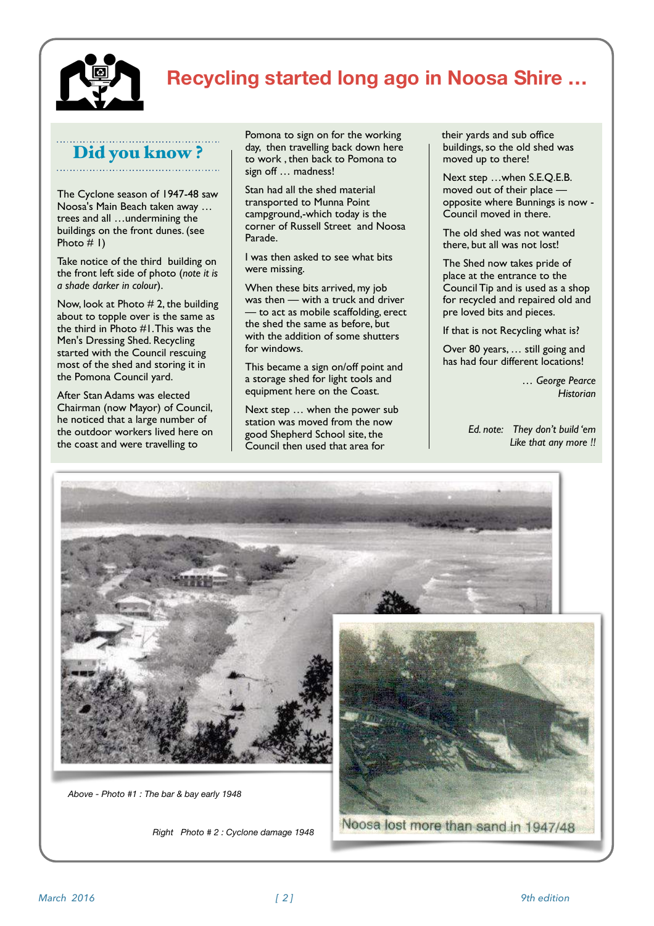

## **Recycling started long ago in Noosa Shire …**

## Did you know ?

The Cyclone season of 1947-48 saw Noosa's Main Beach taken away … trees and all …undermining the buildings on the front dunes. (see Photo  $# I$ )

Take notice of the third building on the front left side of photo (*note it is a shade darker in colour*).

Now, look at Photo # 2, the building about to topple over is the same as the third in Photo #1. This was the Men's Dressing Shed. Recycling started with the Council rescuing most of the shed and storing it in the Pomona Council yard.

After Stan Adams was elected Chairman (now Mayor) of Council, he noticed that a large number of the outdoor workers lived here on the coast and were travelling to

Pomona to sign on for the working day, then travelling back down here to work , then back to Pomona to sign off … madness!

Stan had all the shed material transported to Munna Point campground,-which today is the corner of Russell Street and Noosa Parade.

I was then asked to see what bits were missing.

When these bits arrived, my job was then — with a truck and driver — to act as mobile scaffolding, erect the shed the same as before, but with the addition of some shutters for windows.

This became a sign on/off point and a storage shed for light tools and equipment here on the Coast.

Next step … when the power sub station was moved from the now good Shepherd School site, the Council then used that area for

their yards and sub office buildings, so the old shed was moved up to there!

Next step …when S.E.Q.E.B. moved out of their place opposite where Bunnings is now - Council moved in there.

The old shed was not wanted there, but all was not lost!

The Shed now takes pride of place at the entrance to the Council Tip and is used as a shop for recycled and repaired old and pre loved bits and pieces.

If that is not Recycling what is?

Over 80 years, … still going and has had four different locations!

> *… George Pearce Historian*

*Ed. note: They don't build 'em Like that any more !!*



*Right Photo # 2 : Cyclone damage 1948*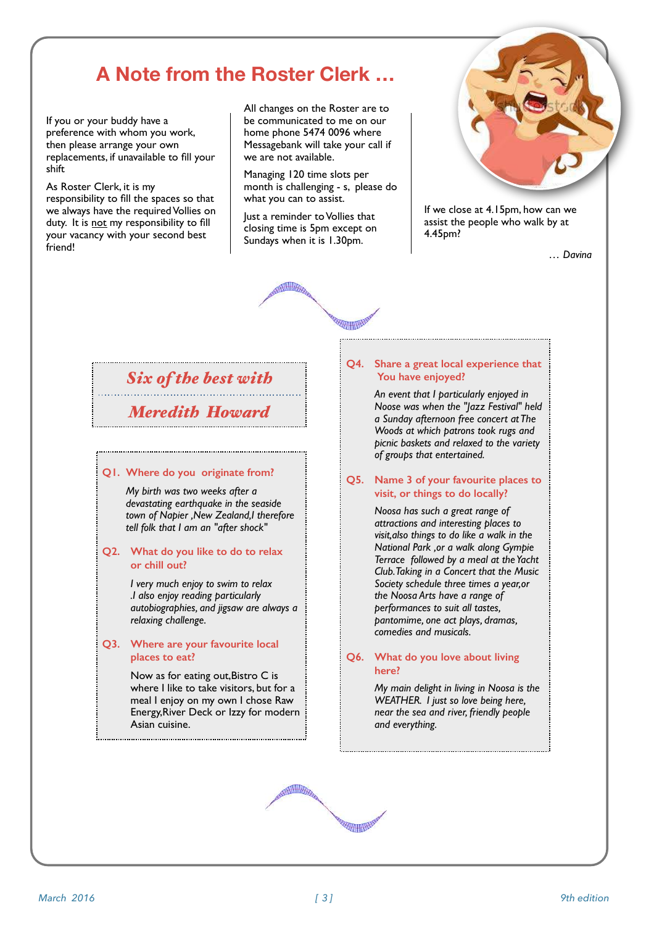## **A Note from the Roster Clerk …**

If you or your buddy have a preference with whom you work, then please arrange your own replacements, if unavailable to fill your shift

As Roster Clerk, it is my responsibility to fill the spaces so that we always have the required Vollies on duty. It is not my responsibility to fill your vacancy with your second best friend!

All changes on the Roster are to be communicated to me on our home phone 5474 0096 where Messagebank will take your call if we are not available.

Managing 120 time slots per month is challenging - s, please do what you can to assist.

Just a reminder to Vollies that closing time is 5pm except on Sundays when it is 1.30pm.

**REARING BE** 



If we close at 4.15pm, how can we assist the people who walk by at 4.45pm?

*… Davina*

## *Six of the best with*

*Meredith Howard*

#### **Q1. Where do you originate from?**

*My birth was two weeks after a devastating earthquake in the seaside town of Napier ,New Zealand,I therefore tell folk that I am an "after shock"*

#### **Q2. What do you like to do to relax or chill out?**

*I very much enjoy to swim to relax .I also enjoy reading particularly autobiographies, and jigsaw are always a relaxing challenge.*

#### **Q3. Where are your favourite local places to eat?**

Now as for eating out,Bistro C is where I like to take visitors, but for a meal I enjoy on my own I chose Raw Energy,River Deck or Izzy for modern Asian cuisine.

#### **Q4. Share a great local experience that You have enjoyed?**

*An event that I particularly enjoyed in Noose was when the "Jazz Festival" held a Sunday afternoon free concert at The Woods at which patrons took rugs and picnic baskets and relaxed to the variety of groups that entertained.*

#### **Q5. Name 3 of your favourite places to visit, or things to do locally?**

*Noosa has such a great range of attractions and interesting places to visit,also things to do like a walk in the National Park ,or a walk along Gympie Terrace followed by a meal at the Yacht Club. Taking in a Concert that the Music Society schedule three times a year,or the Noosa Arts have a range of performances to suit all tastes, pantomime, one act plays, dramas, comedies and musicals.*

#### **Q6. What do you love about living here?**

*My main delight in living in Noosa is the WEATHER. I just so love being here, near the sea and river, friendly people and everything.*